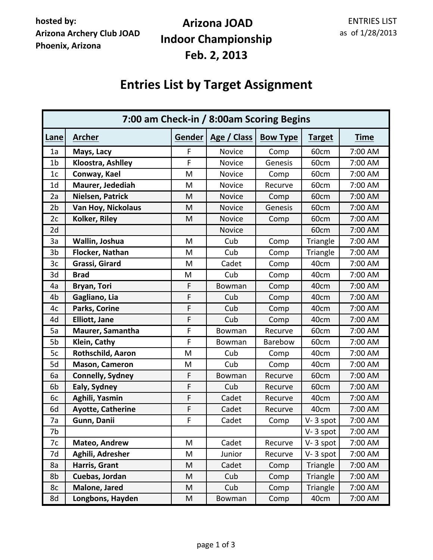## **Arizona JOAD Indoor Championship Feb. 2, 2013**

# **Entries List by Target Assignment**

| 7:00 am Check-in / 8:00am Scoring Begins |                           |             |               |                 |               |             |
|------------------------------------------|---------------------------|-------------|---------------|-----------------|---------------|-------------|
| Lane                                     | <b>Archer</b>             | Gender      | Age / Class   | <b>Bow Type</b> | <b>Target</b> | <b>Time</b> |
| 1a                                       | Mays, Lacy                | F           | Novice        | Comp            | 60cm          | 7:00 AM     |
| 1 <sub>b</sub>                           | Kloostra, Ashlley         | $\mathsf F$ | <b>Novice</b> | Genesis         | 60cm          | 7:00 AM     |
| 1 <sub>c</sub>                           | Conway, Kael              | M           | <b>Novice</b> | Comp            | 60cm          | 7:00 AM     |
| 1 <sub>d</sub>                           | Maurer, Jedediah          | M           | Novice        | Recurve         | 60cm          | 7:00 AM     |
| 2a                                       | Nielsen, Patrick          | M           | <b>Novice</b> | Comp            | 60cm          | 7:00 AM     |
| 2b                                       | <b>Van Hoy, Nickolaus</b> | M           | <b>Novice</b> | Genesis         | 60cm          | 7:00 AM     |
| 2c                                       | Kolker, Riley             | M           | <b>Novice</b> | Comp            | 60cm          | 7:00 AM     |
| 2d                                       |                           |             | <b>Novice</b> |                 | 60cm          | 7:00 AM     |
| 3a                                       | Wallin, Joshua            | M           | Cub           | Comp            | Triangle      | 7:00 AM     |
| 3b                                       | Flocker, Nathan           | M           | Cub           | Comp            | Triangle      | 7:00 AM     |
| 3c                                       | Grassi, Girard            | M           | Cadet         | Comp            | 40cm          | 7:00 AM     |
| 3d                                       | <b>Brad</b>               | M           | Cub           | Comp            | 40cm          | 7:00 AM     |
| 4a                                       | Bryan, Tori               | F           | Bowman        | Comp            | 40cm          | 7:00 AM     |
| 4 <sub>b</sub>                           | Gagliano, Lia             | F           | Cub           | Comp            | 40cm          | 7:00 AM     |
| 4c                                       | Parks, Corine             | F           | Cub           | Comp            | 40cm          | 7:00 AM     |
| 4d                                       | <b>Elliott, Jane</b>      | F           | Cub           | Comp            | 40cm          | 7:00 AM     |
| 5a                                       | Maurer, Samantha          | F           | Bowman        | Recurve         | 60cm          | 7:00 AM     |
| 5b                                       | Klein, Cathy              | F           | Bowman        | Barebow         | 60cm          | 7:00 AM     |
| 5c                                       | Rothschild, Aaron         | M           | Cub           | Comp            | 40cm          | 7:00 AM     |
| 5d                                       | Mason, Cameron            | M           | Cub           | Comp            | 40cm          | 7:00 AM     |
| 6a                                       | <b>Connelly, Sydney</b>   | F           | Bowman        | Recurve         | 60cm          | 7:00 AM     |
| 6b                                       | Ealy, Sydney              | $\mathsf F$ | Cub           | Recurve         | 60cm          | 7:00 AM     |
| 6c                                       | Aghili, Yasmin            | F           | Cadet         | Recurve         | 40cm          | 7:00 AM     |
| 6d                                       | <b>Ayotte, Catherine</b>  | $\mathsf F$ | Cadet         | Recurve         | 40cm          | 7:00 AM     |
| 7a                                       | Gunn, Danii               | F           | Cadet         | Comp            | V-3 spot      | 7:00 AM     |
| 7b                                       |                           |             |               |                 | V-3 spot      | 7:00 AM     |
| 7c                                       | Mateo, Andrew             | M           | Cadet         | Recurve         | $V - 3$ spot  | 7:00 AM     |
| 7d                                       | Aghili, Adresher          | M           | Junior        | Recurve         | V-3 spot      | 7:00 AM     |
| 8a                                       | Harris, Grant             | M           | Cadet         | Comp            | Triangle      | 7:00 AM     |
| 8b                                       | Cuebas, Jordan            | M           | Cub           | Comp            | Triangle      | 7:00 AM     |
| 8c                                       | Malone, Jared             | M           | Cub           | Comp            | Triangle      | 7:00 AM     |
| 8d                                       | Longbons, Hayden          | M           | Bowman        | Comp            | 40cm          | 7:00 AM     |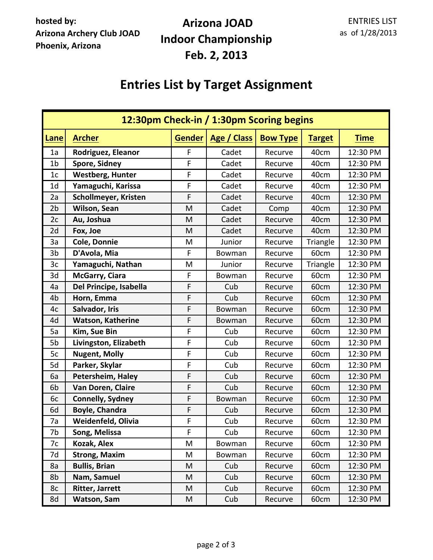## **Arizona JOAD Indoor Championship Feb. 2, 2013**

# **Entries List by Target Assignment**

| 12:30pm Check-in / 1:30pm Scoring begins |                             |               |             |                 |               |             |
|------------------------------------------|-----------------------------|---------------|-------------|-----------------|---------------|-------------|
| Lane                                     | <b>Archer</b>               | <b>Gender</b> | Age / Class | <b>Bow Type</b> | <b>Target</b> | <b>Time</b> |
| 1a                                       | Rodriguez, Eleanor          | F             | Cadet       | Recurve         | 40cm          | 12:30 PM    |
| 1 <sub>b</sub>                           | <b>Spore, Sidney</b>        | $\mathsf F$   | Cadet       | Recurve         | 40cm          | 12:30 PM    |
| 1 <sub>c</sub>                           | <b>Westberg, Hunter</b>     | F             | Cadet       | Recurve         | 40cm          | 12:30 PM    |
| 1 <sub>d</sub>                           | Yamaguchi, Karissa          | F             | Cadet       | Recurve         | 40cm          | 12:30 PM    |
| 2a                                       | <b>Schollmeyer, Kristen</b> | F             | Cadet       | Recurve         | 40cm          | 12:30 PM    |
| 2 <sub>b</sub>                           | Wilson, Sean                | M             | Cadet       | Comp            | 40cm          | 12:30 PM    |
| 2c                                       | Au, Joshua                  | M             | Cadet       | Recurve         | 40cm          | 12:30 PM    |
| 2d                                       | Fox, Joe                    | M             | Cadet       | Recurve         | 40cm          | 12:30 PM    |
| 3a                                       | Cole, Donnie                | M             | Junior      | Recurve         | Triangle      | 12:30 PM    |
| 3 <sub>b</sub>                           | D'Avola, Mia                | $\mathsf F$   | Bowman      | Recurve         | 60cm          | 12:30 PM    |
| 3c                                       | Yamaguchi, Nathan           | M             | Junior      | Recurve         | Triangle      | 12:30 PM    |
| 3d                                       | McGarry, Ciara              | F             | Bowman      | Recurve         | 60cm          | 12:30 PM    |
| 4a                                       | Del Principe, Isabella      | F             | Cub         | Recurve         | 60cm          | 12:30 PM    |
| 4 <sub>b</sub>                           | Horn, Emma                  | F             | Cub         | Recurve         | 60cm          | 12:30 PM    |
| 4c                                       | Salvador, Iris              | F             | Bowman      | Recurve         | 60cm          | 12:30 PM    |
| 4d                                       | <b>Watson, Katherine</b>    | F             | Bowman      | Recurve         | 60cm          | 12:30 PM    |
| 5a                                       | Kim, Sue Bin                | F             | Cub         | Recurve         | 60cm          | 12:30 PM    |
| 5b                                       | Livingston, Elizabeth       | F             | Cub         | Recurve         | 60cm          | 12:30 PM    |
| 5c                                       | <b>Nugent, Molly</b>        | F             | Cub         | Recurve         | 60cm          | 12:30 PM    |
| 5d                                       | Parker, Skylar              | $\mathsf F$   | Cub         | Recurve         | 60cm          | 12:30 PM    |
| 6a                                       | Petersheim, Haley           | F             | Cub         | Recurve         | 60cm          | 12:30 PM    |
| 6 <sub>b</sub>                           | Van Doren, Claire           | F             | Cub         | Recurve         | 60cm          | 12:30 PM    |
| 6c                                       | <b>Connelly, Sydney</b>     | F             | Bowman      | Recurve         | 60cm          | 12:30 PM    |
| 6d                                       | <b>Boyle, Chandra</b>       | F             | Cub         | Recurve         | 60cm          | 12:30 PM    |
| 7a                                       | Weidenfeld, Olivia          | F             | Cub         | Recurve         | 60cm          | 12:30 PM    |
| 7b                                       | Song, Melissa               | F             | Cub         | Recurve         | 60cm          | 12:30 PM    |
| 7c                                       | Kozak, Alex                 | M             | Bowman      | Recurve         | 60cm          | 12:30 PM    |
| 7d                                       | <b>Strong, Maxim</b>        | M             | Bowman      | Recurve         | 60cm          | 12:30 PM    |
| 8a                                       | <b>Bullis, Brian</b>        | M             | Cub         | Recurve         | 60cm          | 12:30 PM    |
| 8b                                       | Nam, Samuel                 | M             | Cub         | Recurve         | 60cm          | 12:30 PM    |
| 8c                                       | <b>Ritter, Jarrett</b>      | M             | Cub         | Recurve         | 60cm          | 12:30 PM    |
| 8d                                       | <b>Watson, Sam</b>          | M             | Cub         | Recurve         | 60cm          | 12:30 PM    |